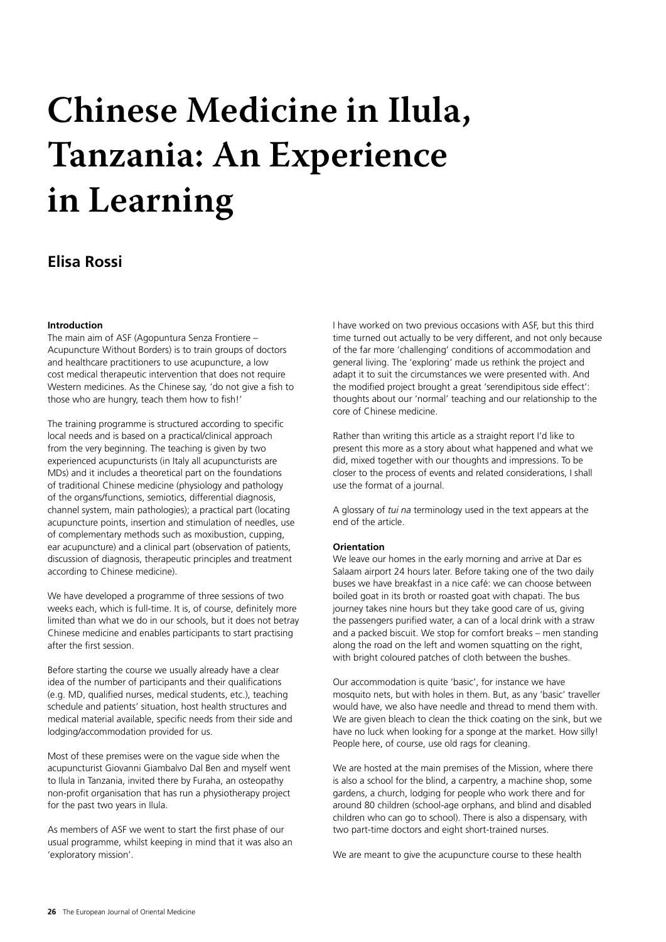# **Chinese Medicine in Ilula, Tanzania: An Experience in Learning**

# **Elisa Rossi**

# **Introduction**

The main aim of ASF (Agopuntura Senza Frontiere – Acupuncture Without Borders) is to train groups of doctors and healthcare practitioners to use acupuncture, a low cost medical therapeutic intervention that does not require Western medicines. As the Chinese say, 'do not give a fish to those who are hungry, teach them how to fish!'

The training programme is structured according to specific local needs and is based on a practical/clinical approach from the very beginning. The teaching is given by two experienced acupuncturists (in Italy all acupuncturists are MDs) and it includes a theoretical part on the foundations of traditional Chinese medicine (physiology and pathology of the organs/functions, semiotics, differential diagnosis, channel system, main pathologies); a practical part (locating acupuncture points, insertion and stimulation of needles, use of complementary methods such as moxibustion, cupping, ear acupuncture) and a clinical part (observation of patients, discussion of diagnosis, therapeutic principles and treatment according to Chinese medicine).

We have developed a programme of three sessions of two weeks each, which is full-time. It is, of course, definitely more limited than what we do in our schools, but it does not betray Chinese medicine and enables participants to start practising after the first session.

Before starting the course we usually already have a clear idea of the number of participants and their qualifications (e.g. MD, qualified nurses, medical students, etc.), teaching schedule and patients' situation, host health structures and medical material available, specific needs from their side and lodging/accommodation provided for us.

Most of these premises were on the vague side when the acupuncturist Giovanni Giambalvo Dal Ben and myself went to Ilula in Tanzania, invited there by Furaha, an osteopathy non-profit organisation that has run a physiotherapy project for the past two years in Ilula.

As members of ASF we went to start the first phase of our usual programme, whilst keeping in mind that it was also an 'exploratory mission'.

I have worked on two previous occasions with ASF, but this third time turned out actually to be very different, and not only because of the far more 'challenging' conditions of accommodation and general living. The 'exploring' made us rethink the project and adapt it to suit the circumstances we were presented with. And the modified project brought a great 'serendipitous side effect': thoughts about our 'normal' teaching and our relationship to the core of Chinese medicine.

Rather than writing this article as a straight report I'd like to present this more as a story about what happened and what we did, mixed together with our thoughts and impressions. To be closer to the process of events and related considerations, I shall use the format of a journal.

A glossary of *tui na* terminology used in the text appears at the end of the article.

# **Orientation**

We leave our homes in the early morning and arrive at Dar es Salaam airport 24 hours later. Before taking one of the two daily buses we have breakfast in a nice café: we can choose between boiled goat in its broth or roasted goat with chapati. The bus journey takes nine hours but they take good care of us, giving the passengers purified water, a can of a local drink with a straw and a packed biscuit. We stop for comfort breaks – men standing along the road on the left and women squatting on the right, with bright coloured patches of cloth between the bushes.

Our accommodation is quite 'basic', for instance we have mosquito nets, but with holes in them. But, as any 'basic' traveller would have, we also have needle and thread to mend them with. We are given bleach to clean the thick coating on the sink, but we have no luck when looking for a sponge at the market. How silly! People here, of course, use old rags for cleaning.

We are hosted at the main premises of the Mission, where there is also a school for the blind, a carpentry, a machine shop, some gardens, a church, lodging for people who work there and for around 80 children (school-age orphans, and blind and disabled children who can go to school). There is also a dispensary, with two part-time doctors and eight short-trained nurses.

We are meant to give the acupuncture course to these health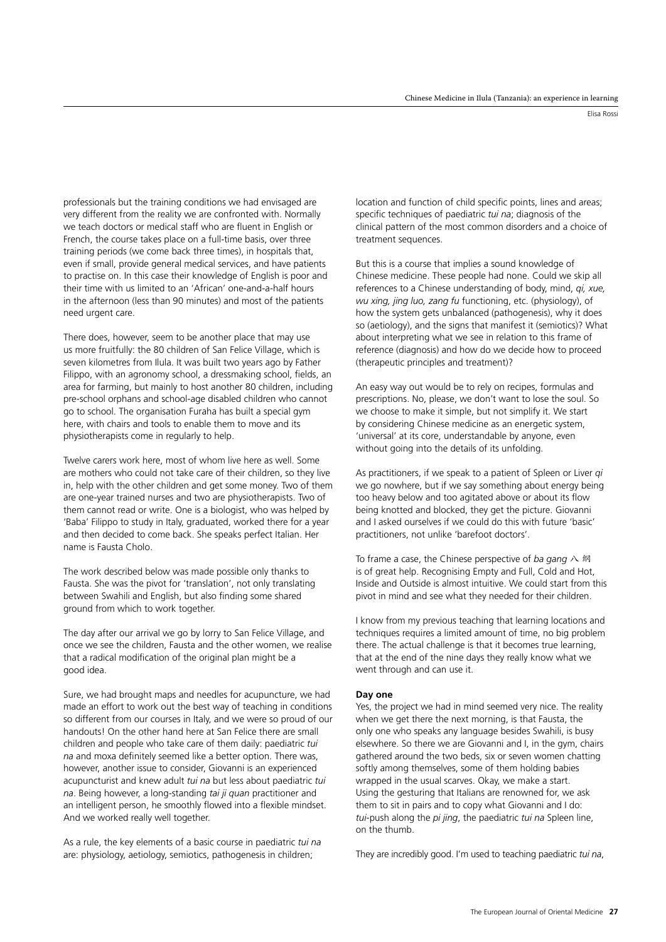Elisa Rossi

professionals but the training conditions we had envisaged are very different from the reality we are confronted with. Normally we teach doctors or medical staff who are fluent in English or French, the course takes place on a full-time basis, over three training periods (we come back three times), in hospitals that, even if small, provide general medical services, and have patients to practise on. In this case their knowledge of English is poor and their time with us limited to an 'African' one-and-a-half hours in the afternoon (less than 90 minutes) and most of the patients need urgent care.

There does, however, seem to be another place that may use us more fruitfully: the 80 children of San Felice Village, which is seven kilometres from Ilula. It was built two years ago by Father Filippo, with an agronomy school, a dressmaking school, fields, an area for farming, but mainly to host another 80 children, including pre-school orphans and school-age disabled children who cannot go to school. The organisation Furaha has built a special gym here, with chairs and tools to enable them to move and its physiotherapists come in regularly to help.

Twelve carers work here, most of whom live here as well. Some are mothers who could not take care of their children, so they live in, help with the other children and get some money. Two of them are one-year trained nurses and two are physiotherapists. Two of them cannot read or write. One is a biologist, who was helped by 'Baba' Filippo to study in Italy, graduated, worked there for a year and then decided to come back. She speaks perfect Italian. Her name is Fausta Cholo.

The work described below was made possible only thanks to Fausta. She was the pivot for 'translation', not only translating between Swahili and English, but also finding some shared ground from which to work together.

The day after our arrival we go by lorry to San Felice Village, and once we see the children, Fausta and the other women, we realise that a radical modification of the original plan might be a good idea.

Sure, we had brought maps and needles for acupuncture, we had made an effort to work out the best way of teaching in conditions so different from our courses in Italy, and we were so proud of our handouts! On the other hand here at San Felice there are small children and people who take care of them daily: paediatric *tui na* and moxa definitely seemed like a better option. There was, however, another issue to consider, Giovanni is an experienced acupuncturist and knew adult *tui na* but less about paediatric *tui na*. Being however, a long-standing *tai ji quan* practitioner and an intelligent person, he smoothly flowed into a flexible mindset. And we worked really well together.

As a rule, the key elements of a basic course in paediatric *tui na* are: physiology, aetiology, semiotics, pathogenesis in children;

location and function of child specific points, lines and areas; specific techniques of paediatric *tui na*; diagnosis of the clinical pattern of the most common disorders and a choice of treatment sequences.

But this is a course that implies a sound knowledge of Chinese medicine. These people had none. Could we skip all references to a Chinese understanding of body, mind, *qi, xue, wu xing, jing luo, zang fu* functioning, etc. (physiology), of how the system gets unbalanced (pathogenesis), why it does so (aetiology), and the signs that manifest it (semiotics)? What about interpreting what we see in relation to this frame of reference (diagnosis) and how do we decide how to proceed (therapeutic principles and treatment)?

An easy way out would be to rely on recipes, formulas and prescriptions. No, please, we don't want to lose the soul. So we choose to make it simple, but not simplify it. We start by considering Chinese medicine as an energetic system, 'universal' at its core, understandable by anyone, even without going into the details of its unfolding.

As practitioners, if we speak to a patient of Spleen or Liver *qi* we go nowhere, but if we say something about energy being too heavy below and too agitated above or about its flow being knotted and blocked, they get the picture. Giovanni and I asked ourselves if we could do this with future 'basic' practitioners, not unlike 'barefoot doctors'.

To frame a case, the Chinese perspective of *ba gang* 八 纲 is of great help. Recognising Empty and Full, Cold and Hot, Inside and Outside is almost intuitive. We could start from this pivot in mind and see what they needed for their children.

I know from my previous teaching that learning locations and techniques requires a limited amount of time, no big problem there. The actual challenge is that it becomes true learning, that at the end of the nine days they really know what we went through and can use it.

### **Day one**

Yes, the project we had in mind seemed very nice. The reality when we get there the next morning, is that Fausta, the only one who speaks any language besides Swahili, is busy elsewhere. So there we are Giovanni and I, in the gym, chairs gathered around the two beds, six or seven women chatting softly among themselves, some of them holding babies wrapped in the usual scarves. Okay, we make a start. Using the gesturing that Italians are renowned for, we ask them to sit in pairs and to copy what Giovanni and I do: *tui*-push along the *pi jing*, the paediatric *tui na* Spleen line, on the thumb.

They are incredibly good. I'm used to teaching paediatric *tui na*,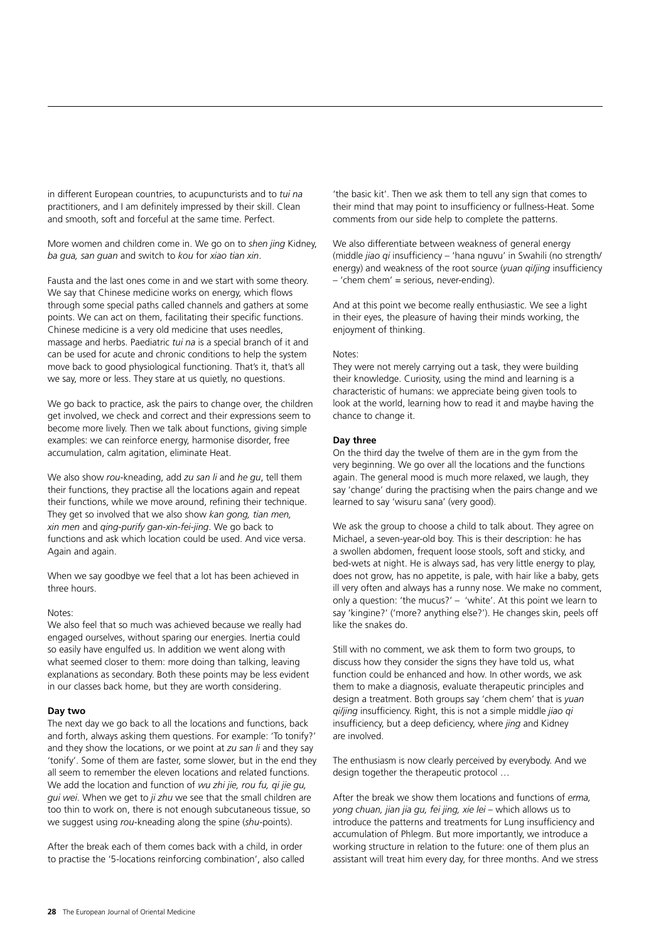in different European countries, to acupuncturists and to *tui na* practitioners, and I am definitely impressed by their skill. Clean and smooth, soft and forceful at the same time. Perfect.

More women and children come in. We go on to *shen jing* Kidney, *ba gua, san guan* and switch to *kou* for *xiao tian xin*.

Fausta and the last ones come in and we start with some theory. We say that Chinese medicine works on energy, which flows through some special paths called channels and gathers at some points. We can act on them, facilitating their specific functions. Chinese medicine is a very old medicine that uses needles, massage and herbs. Paediatric *tui na* is a special branch of it and can be used for acute and chronic conditions to help the system move back to good physiological functioning. That's it, that's all we say, more or less. They stare at us quietly, no questions.

We go back to practice, ask the pairs to change over, the children get involved, we check and correct and their expressions seem to become more lively. Then we talk about functions, giving simple examples: we can reinforce energy, harmonise disorder, free accumulation, calm agitation, eliminate Heat.

We also show *rou*-kneading, add *zu san li* and *he gu*, tell them their functions, they practise all the locations again and repeat their functions, while we move around, refining their technique. They get so involved that we also show *kan gong, tian men, xin men* and *qing-purify gan-xin-fei-jing*. We go back to functions and ask which location could be used. And vice versa. Again and again.

When we say goodbye we feel that a lot has been achieved in three hours.

# Notes:

We also feel that so much was achieved because we really had engaged ourselves, without sparing our energies. Inertia could so easily have engulfed us. In addition we went along with what seemed closer to them: more doing than talking, leaving explanations as secondary. Both these points may be less evident in our classes back home, but they are worth considering.

### **Day two**

The next day we go back to all the locations and functions, back and forth, always asking them questions. For example: 'To tonify?' and they show the locations, or we point at *zu san li* and they say 'tonify'. Some of them are faster, some slower, but in the end they all seem to remember the eleven locations and related functions. We add the location and function of *wu zhi jie, rou fu, qi jie gu, gui wei*. When we get to *ji zhu* we see that the small children are too thin to work on, there is not enough subcutaneous tissue, so we suggest using *rou*-kneading along the spine (*shu*-points).

After the break each of them comes back with a child, in order to practise the '5-locations reinforcing combination', also called 'the basic kit'. Then we ask them to tell any sign that comes to their mind that may point to insufficiency or fullness-Heat. Some comments from our side help to complete the patterns.

We also differentiate between weakness of general energy (middle *jiao qi* insufficiency – 'hana nguvu' in Swahili (no strength/ energy) and weakness of the root source (*yuan qi/jing* insufficiency – 'chem chem' = serious, never-ending).

And at this point we become really enthusiastic. We see a light in their eyes, the pleasure of having their minds working, the enjoyment of thinking.

### Notes:

They were not merely carrying out a task, they were building their knowledge. Curiosity, using the mind and learning is a characteristic of humans: we appreciate being given tools to look at the world, learning how to read it and maybe having the chance to change it.

# **Day three**

On the third day the twelve of them are in the gym from the very beginning. We go over all the locations and the functions again. The general mood is much more relaxed, we laugh, they say 'change' during the practising when the pairs change and we learned to say 'wisuru sana' (very good).

We ask the group to choose a child to talk about. They agree on Michael, a seven-year-old boy. This is their description: he has a swollen abdomen, frequent loose stools, soft and sticky, and bed-wets at night. He is always sad, has very little energy to play, does not grow, has no appetite, is pale, with hair like a baby, gets ill very often and always has a runny nose. We make no comment, only a question: 'the mucus?' – 'white'. At this point we learn to say 'kingine?' ('more? anything else?'). He changes skin, peels off like the snakes do.

Still with no comment, we ask them to form two groups, to discuss how they consider the signs they have told us, what function could be enhanced and how. In other words, we ask them to make a diagnosis, evaluate therapeutic principles and design a treatment. Both groups say 'chem chem' that is *yuan qi/jing* insufficiency. Right, this is not a simple middle *jiao qi* insufficiency, but a deep deficiency, where *jing* and Kidney are involved.

The enthusiasm is now clearly perceived by everybody. And we design together the therapeutic protocol …

After the break we show them locations and functions of *erma, yong chuan, jian jia gu, fei jing, xie lei* – which allows us to introduce the patterns and treatments for Lung insufficiency and accumulation of Phlegm. But more importantly, we introduce a working structure in relation to the future: one of them plus an assistant will treat him every day, for three months. And we stress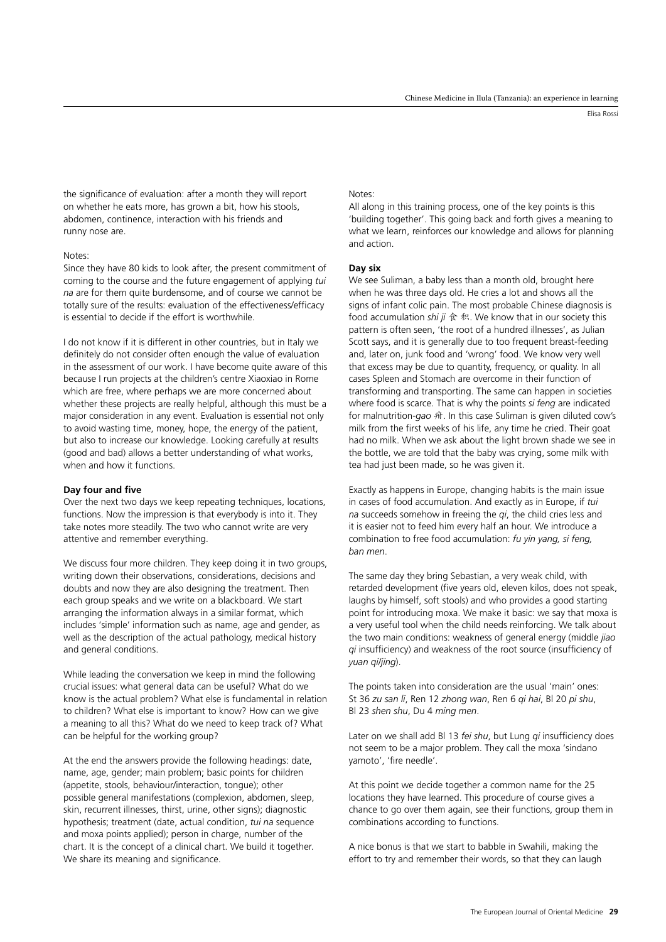Elisa Rossi

the significance of evaluation: after a month they will report on whether he eats more, has grown a bit, how his stools, abdomen, continence, interaction with his friends and runny nose are.

### Notes:

Since they have 80 kids to look after, the present commitment of coming to the course and the future engagement of applying *tui na* are for them quite burdensome, and of course we cannot be totally sure of the results: evaluation of the effectiveness/efficacy is essential to decide if the effort is worthwhile.

I do not know if it is different in other countries, but in Italy we definitely do not consider often enough the value of evaluation in the assessment of our work. I have become quite aware of this because I run projects at the children's centre Xiaoxiao in Rome which are free, where perhaps we are more concerned about whether these projects are really helpful, although this must be a major consideration in any event. Evaluation is essential not only to avoid wasting time, money, hope, the energy of the patient, but also to increase our knowledge. Looking carefully at results (good and bad) allows a better understanding of what works, when and how it functions.

#### **Day four and five**

Over the next two days we keep repeating techniques, locations, functions. Now the impression is that everybody is into it. They take notes more steadily. The two who cannot write are very attentive and remember everything.

We discuss four more children. They keep doing it in two groups, writing down their observations, considerations, decisions and doubts and now they are also designing the treatment. Then each group speaks and we write on a blackboard. We start arranging the information always in a similar format, which includes 'simple' information such as name, age and gender, as well as the description of the actual pathology, medical history and general conditions.

While leading the conversation we keep in mind the following crucial issues: what general data can be useful? What do we know is the actual problem? What else is fundamental in relation to children? What else is important to know? How can we give a meaning to all this? What do we need to keep track of? What can be helpful for the working group?

At the end the answers provide the following headings: date, name, age, gender; main problem; basic points for children (appetite, stools, behaviour/interaction, tongue); other possible general manifestations (complexion, abdomen, sleep, skin, recurrent illnesses, thirst, urine, other signs); diagnostic hypothesis; treatment (date, actual condition, *tui na* sequence and moxa points applied); person in charge, number of the chart. It is the concept of a clinical chart. We build it together. We share its meaning and significance.

# Notes:

All along in this training process, one of the key points is this 'building together'. This going back and forth gives a meaning to what we learn, reinforces our knowledge and allows for planning and action.

# **Day six**

We see Suliman, a baby less than a month old, brought here when he was three days old. He cries a lot and shows all the signs of infant colic pain. The most probable Chinese diagnosis is food accumulation *shi ji* 食 积. We know that in our society this pattern is often seen, 'the root of a hundred illnesses', as Julian Scott says, and it is generally due to too frequent breast-feeding and, later on, junk food and 'wrong' food. We know very well that excess may be due to quantity, frequency, or quality. In all cases Spleen and Stomach are overcome in their function of transforming and transporting. The same can happen in societies where food is scarce. That is why the points *si feng* are indicated for malnutrition-*gao* 疳. In this case Suliman is given diluted cow's milk from the first weeks of his life, any time he cried. Their goat had no milk. When we ask about the light brown shade we see in the bottle, we are told that the baby was crying, some milk with tea had just been made, so he was given it.

Exactly as happens in Europe, changing habits is the main issue in cases of food accumulation. And exactly as in Europe, if *tui na* succeeds somehow in freeing the *qi*, the child cries less and it is easier not to feed him every half an hour. We introduce a combination to free food accumulation: *fu yin yang, si feng, ban men*.

The same day they bring Sebastian, a very weak child, with retarded development (five years old, eleven kilos, does not speak, laughs by himself, soft stools) and who provides a good starting point for introducing moxa. We make it basic: we say that moxa is a very useful tool when the child needs reinforcing. We talk about the two main conditions: weakness of general energy (middle *jiao qi* insufficiency) and weakness of the root source (insufficiency of *yuan qi/jing*).

The points taken into consideration are the usual 'main' ones: St 36 *zu san li*, Ren 12 *zhong wan*, Ren 6 *qi hai*, Bl 20 *pi shu*, Bl 23 *shen shu*, Du 4 *ming men*.

Later on we shall add Bl 13 *fei shu*, but Lung *qi* insufficiency does not seem to be a major problem. They call the moxa 'sindano yamoto', 'fire needle'.

At this point we decide together a common name for the 25 locations they have learned. This procedure of course gives a chance to go over them again, see their functions, group them in combinations according to functions.

A nice bonus is that we start to babble in Swahili, making the effort to try and remember their words, so that they can laugh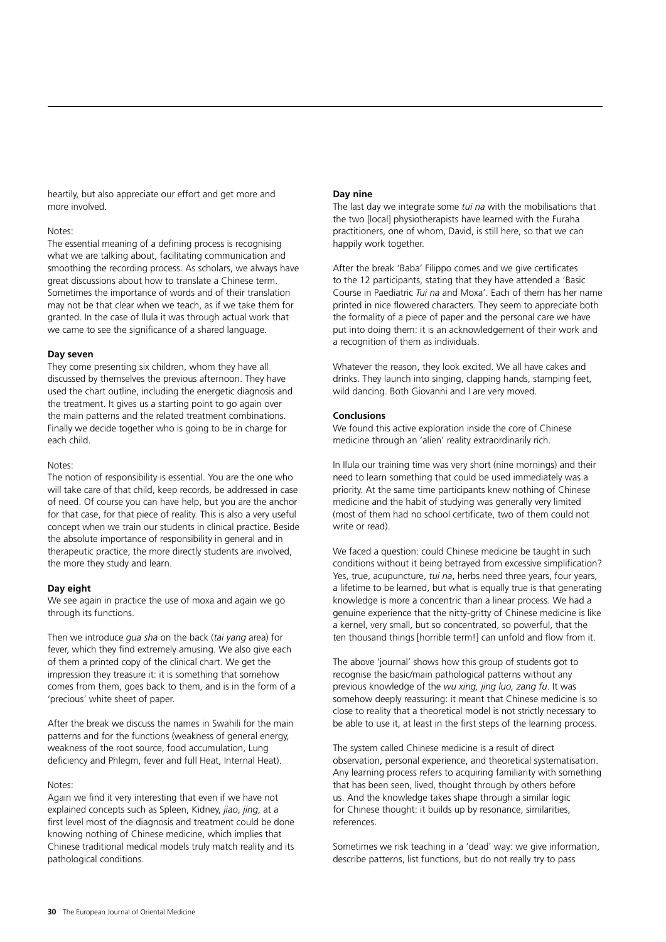heartily, but also appreciate our effort and get more and more involved.

# Notes:

The essential meaning of a defining process is recognising what we are talking about, facilitating communication and smoothing the recording process. As scholars, we always have great discussions about how to translate a Chinese term. Sometimes the importance of words and of their translation may not be that clear when we teach, as if we take them for granted. In the case of Ilula it was through actual work that we came to see the significance of a shared language.

# **Day seven**

They come presenting six children, whom they have all discussed by themselves the previous afternoon. They have used the chart outline, including the energetic diagnosis and the treatment. It gives us a starting point to go again over the main patterns and the related treatment combinations. Finally we decide together who is going to be in charge for each child.

### Notes:

The notion of responsibility is essential. You are the one who will take care of that child, keep records, be addressed in case of need. Of course you can have help, but you are the anchor for that case, for that piece of reality. This is also a very useful concept when we train our students in clinical practice. Beside the absolute importance of responsibility in general and in therapeutic practice, the more directly students are involved, the more they study and learn.

### **Day eight**

We see again in practice the use of moxa and again we go through its functions.

Then we introduce *gua sha* on the back (*tai yang* area) for fever, which they find extremely amusing. We also give each of them a printed copy of the clinical chart. We get the impression they treasure it: it is something that somehow comes from them, goes back to them, and is in the form of a 'precious' white sheet of paper.

After the break we discuss the names in Swahili for the main patterns and for the functions (weakness of general energy, weakness of the root source, food accumulation, Lung deficiency and Phlegm, fever and full Heat, Internal Heat).

### Notes:

Again we find it very interesting that even if we have not explained concepts such as Spleen, Kidney, *jiao*, *jing*, at a first level most of the diagnosis and treatment could be done knowing nothing of Chinese medicine, which implies that Chinese traditional medical models truly match reality and its pathological conditions.

# **Day nine**

The last day we integrate some *tui na* with the mobilisations that the two [local] physiotherapists have learned with the Furaha practitioners, one of whom, David, is still here, so that we can happily work together.

After the break 'Baba' Filippo comes and we give certificates to the 12 participants, stating that they have attended a 'Basic Course in Paediatric *Tui na* and Moxa'. Each of them has her name printed in nice flowered characters. They seem to appreciate both the formality of a piece of paper and the personal care we have put into doing them: it is an acknowledgement of their work and a recognition of them as individuals.

Whatever the reason, they look excited. We all have cakes and drinks. They launch into singing, clapping hands, stamping feet, wild dancing. Both Giovanni and I are very moved.

# **Conclusions**

We found this active exploration inside the core of Chinese medicine through an 'alien' reality extraordinarily rich.

In Ilula our training time was very short (nine mornings) and their need to learn something that could be used immediately was a priority. At the same time participants knew nothing of Chinese medicine and the habit of studying was generally very limited (most of them had no school certificate, two of them could not write or read).

We faced a question: could Chinese medicine be taught in such conditions without it being betrayed from excessive simplification? Yes, true, acupuncture, *tui na*, herbs need three years, four years, a lifetime to be learned, but what is equally true is that generating knowledge is more a concentric than a linear process. We had a genuine experience that the nitty-gritty of Chinese medicine is like a kernel, very small, but so concentrated, so powerful, that the ten thousand things [horrible term!] can unfold and flow from it.

The above 'journal' shows how this group of students got to recognise the basic/main pathological patterns without any previous knowledge of the *wu xing, jing luo, zang fu*. It was somehow deeply reassuring: it meant that Chinese medicine is so close to reality that a theoretical model is not strictly necessary to be able to use it, at least in the first steps of the learning process.

The system called Chinese medicine is a result of direct observation, personal experience, and theoretical systematisation. Any learning process refers to acquiring familiarity with something that has been seen, lived, thought through by others before us. And the knowledge takes shape through a similar logic for Chinese thought: it builds up by resonance, similarities, references.

Sometimes we risk teaching in a 'dead' way: we give information, describe patterns, list functions, but do not really try to pass